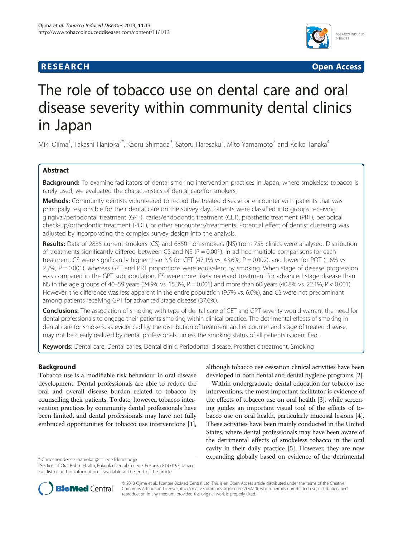# **RESEARCH CHINESEARCH CHINESEARCH CHINESE**



# The role of tobacco use on dental care and oral disease severity within community dental clinics in Japan

Miki Ojima<sup>1</sup>, Takashi Hanioka<sup>2\*</sup>, Kaoru Shimada<sup>3</sup>, Satoru Haresaku<sup>2</sup>, Mito Yamamoto<sup>2</sup> and Keiko Tanaka<sup>4</sup>

# Abstract

Background: To examine facilitators of dental smoking intervention practices in Japan, where smokeless tobacco is rarely used, we evaluated the characteristics of dental care for smokers.

Methods: Community dentists volunteered to record the treated disease or encounter with patients that was principally responsible for their dental care on the survey day. Patients were classified into groups receiving gingival/periodontal treatment (GPT), caries/endodontic treatment (CET), prosthetic treatment (PRT), periodical check-up/orthodontic treatment (POT), or other encounters/treatments. Potential effect of dentist clustering was adjusted by incorporating the complex survey design into the analysis.

Results: Data of 2835 current smokers (CS) and 6850 non-smokers (NS) from 753 clinics were analysed. Distribution of treatments significantly differed between CS and NS ( $P = 0.001$ ). In ad hoc multiple comparisons for each treatment, CS were significantly higher than NS for CET (47.1% vs. 43.6%, P = 0.002), and lower for POT (1.6% vs. 2.7%, P = 0.001), whereas GPT and PRT proportions were equivalent by smoking. When stage of disease progression was compared in the GPT subpopulation, CS were more likely received treatment for advanced stage disease than NS in the age groups of 40–59 years (24.9% vs. 15.3%, P = 0.001) and more than 60 years (40.8% vs. 22.1%, P < 0.001). However, the difference was less apparent in the entire population (9.7% vs. 6.0%), and CS were not predominant among patients receiving GPT for advanced stage disease (37.6%).

**Conclusions:** The association of smoking with type of dental care of CET and GPT severity would warrant the need for dental professionals to engage their patients smoking within clinical practice. The detrimental effects of smoking in dental care for smokers, as evidenced by the distribution of treatment and encounter and stage of treated disease, may not be clearly realized by dental professionals, unless the smoking status of all patients is identified.

Keywords: Dental care, Dental caries, Dental clinic, Periodontal disease, Prosthetic treatment, Smoking

# **Background**

Tobacco use is a modifiable risk behaviour in oral disease development. Dental professionals are able to reduce the oral and overall disease burden related to tobacco by counselling their patients. To date, however, tobacco intervention practices by community dental professionals have been limited, and dental professionals may have not fully embraced opportunities for tobacco use interventions [[1](#page-6-0)],

although tobacco use cessation clinical activities have been developed in both dental and dental hygiene programs [\[2\]](#page-6-0).

Within undergraduate dental education for tobacco use interventions, the most important facilitator is evidence of the effects of tobacco use on oral health [\[3](#page-6-0)], while screening guides an important visual tool of the effects of tobacco use on oral health, particularly mucosal lesions [[4](#page-6-0)]. These activities have been mainly conducted in the United States, where dental professionals may have been aware of the detrimental effects of smokeless tobacco in the oral cavity in their daily practice [\[5](#page-6-0)]. However, they are now \* Correspondence: [haniokat@college.fdcnet.ac.jp](mailto:haniokat@college.fdcnet.ac.jp) expanding globally based on evidence of the detrimental



© 2013 Ojima et al.; licensee BioMed Central Ltd. This is an Open Access article distributed under the terms of the Creative Commons Attribution License [\(http://creativecommons.org/licenses/by/2.0\)](http://creativecommons.org/licenses/by/2.0), which permits unrestricted use, distribution, and reproduction in any medium, provided the original work is properly cited.

<sup>&</sup>lt;sup>2</sup>Section of Oral Public Health, Fukuoka Dental College, Fukuoka 814-0193, Japan Full list of author information is available at the end of the article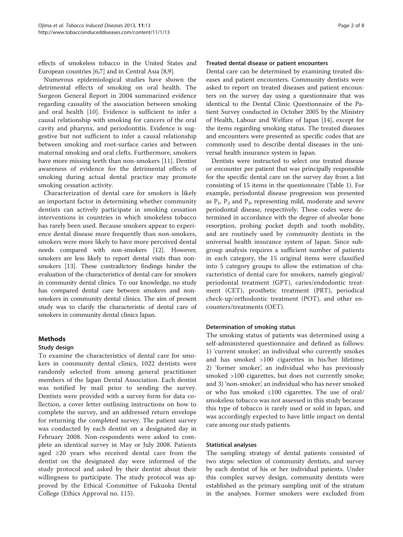effects of smokeless tobacco in the United States and European countries [\[6,7](#page-6-0)] and in Central Asia [\[8,9\]](#page-6-0).

Numerous epidemiological studies have shown the detrimental effects of smoking on oral health. The Surgeon General Report in 2004 summarized evidence regarding causality of the association between smoking and oral health [[10\]](#page-6-0). Evidence is sufficient to infer a causal relationship with smoking for cancers of the oral cavity and pharynx, and periodontitis. Evidence is suggestive but not sufficient to infer a causal relationship between smoking and root-surface caries and between maternal smoking and oral clefts. Furthermore, smokers have more missing teeth than non-smokers [\[11](#page-6-0)]. Dentist awareness of evidence for the detrimental effects of smoking during actual dental practice may promote smoking cessation activity.

Characterization of dental care for smokers is likely an important factor in determining whether community dentists can actively participate in smoking cessation interventions in countries in which smokeless tobacco has rarely been used. Because smokers appear to experience dental disease more frequently than non-smokers, smokers were more likely to have more perceived dental needs compared with non-smokers [\[12\]](#page-6-0). However, smokers are less likely to report dental visits than nonsmokers [[13](#page-6-0)]. These contradictory findings hinder the evaluation of the characteristics of dental care for smokers in community dental clinics. To our knowledge, no study has compared dental care between smokers and nonsmokers in community dental clinics. The aim of present study was to clarify the characteristic of dental care of smokers in community dental clinics Japan.

# Methods

# Study design

To examine the characteristics of dental care for smokers in community dental clinics, 1022 dentists were randomly selected from among general practitioner members of the Japan Dental Association. Each dentist was notified by mail prior to sending the survey. Dentists were provided with a survey form for data collection, a cover letter outlining instructions on how to complete the survey, and an addressed return envelope for returning the completed survey. The patient survey was conducted by each dentist on a designated day in February 2008. Non-respondents were asked to complete an identical survey in May or July 2008. Patients aged ≥20 years who received dental care from the dentist on the designated day were informed of the study protocol and asked by their dentist about their willingness to participate. The study protocol was approved by the Ethical Committee of Fukuoka Dental College (Ethics Approval no. 115).

#### Treated dental disease or patient encounters

Dental care can be determined by examining treated diseases and patient encounters. Community dentists were asked to report on treated diseases and patient encounters on the survey day using a questionnaire that was identical to the Dental Clinic Questionnaire of the Patient Survey conducted in October 2005 by the Ministry of Health, Labour and Welfare of Japan [\[14\]](#page-6-0), except for the items regarding smoking status. The treated diseases and encounters were presented as specific codes that are commonly used to describe dental diseases in the universal health insurance system in Japan.

Dentists were instructed to select one treated disease or encounter per patient that was principally responsible for the specific dental care on the survey day from a list consisting of 15 items in the questionnaire (Table [1](#page-2-0)). For example, periodontal disease progression was presented as  $P_1$ ,  $P_2$  and  $P_3$ , representing mild, moderate and severe periodontal disease, respectively. These codes were determined in accordance with the degree of alveolar bone resorption, probing pocket depth and tooth mobility, and are routinely used by community dentists in the universal health insurance system of Japan. Since subgroup analysis requires a sufficient number of patients in each category, the 15 original items were classified into 5 category groups to allow the estimation of characteristics of dental care for smokers, namely gingival/ periodontal treatment (GPT), caries/endodontic treatment (CET), prosthetic treatment (PRT), periodical check-up/orthodontic treatment (POT), and other encounters/treatments (OET).

#### Determination of smoking status

The smoking status of patients was determined using a self-administered questionnaire and defined as follows: 1) 'current smoker', an individual who currently smokes and has smoked >100 cigarettes in his/her lifetime; 2) 'former smoker', an individual who has previously smoked >100 cigarettes, but does not currently smoke; and 3) 'non-smoker', an individual who has never smoked or who has smoked ≤100 cigarettes. The use of oral/ smokeless tobacco was not assessed in this study because this type of tobacco is rarely used or sold in Japan, and was accordingly expected to have little impact on dental care among our study patients.

#### Statistical analyses

The sampling strategy of dental patients consisted of two steps: selection of community dentists, and survey by each dentist of his or her individual patients. Under this complex survey design, community dentists were established as the primary sampling unit of the stratum in the analyses. Former smokers were excluded from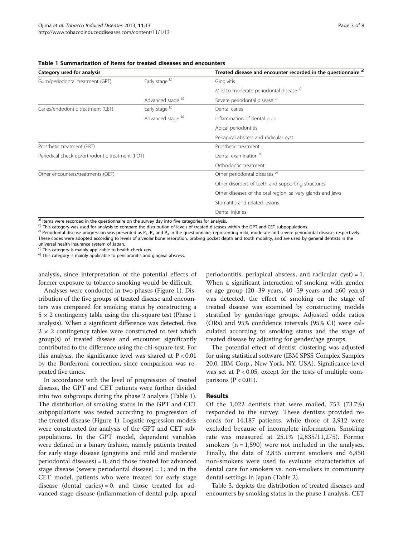<span id="page-2-0"></span>

| Table 1 Summarization of items for treated diseases and encounters |  |
|--------------------------------------------------------------------|--|
|--------------------------------------------------------------------|--|

| Category used for analysis                      |                   | Treated disease and encounter recorded in the questionnaire a) |  |  |
|-------------------------------------------------|-------------------|----------------------------------------------------------------|--|--|
| Gum/periodontal treatment (GPT)                 | Early stage b)    | Gingivitis                                                     |  |  |
|                                                 |                   | Mild to moderate periodontal disease <sup>c)</sup>             |  |  |
|                                                 | Advanced stage b) | Severe periodontal disease <sup>c)</sup>                       |  |  |
| Caries/endodontic treatment (CET)               | Early stage b)    | Dental caries                                                  |  |  |
|                                                 | Advanced stage b) | Inflammation of dental pulp                                    |  |  |
|                                                 |                   | Apical periodontitis                                           |  |  |
|                                                 |                   | Periapical abscess and radicular cyst                          |  |  |
| Prosthetic treatment (PRT)                      |                   | Prosthetic treatment                                           |  |  |
| Periodical check-up/orthodontic treatment (POT) |                   | Dental examination d)                                          |  |  |
|                                                 |                   | Orthodontic treatment                                          |  |  |
| Other encounters/treatments (OET)               |                   | Other periodontal diseases <sup>e)</sup>                       |  |  |
|                                                 |                   | Other disorders of teeth and supporting structures             |  |  |
|                                                 |                   | Other diseases of the oral region, salivary glands and jaws    |  |  |
|                                                 |                   | Stomatitis and related lesions                                 |  |  |
|                                                 |                   | Dental injuries                                                |  |  |

<sup>a)</sup> Items were recorded in the questionnaire on the survey day into five categories for analysis.<br><sup>b)</sup> This category was used for analysis to compare the distribution of levels of treated diseases within the GPT and CET These codes were adopted according to levels of alveolar bone resorption, probing pocket depth and tooth mobility, and are used by general dentists in the

universal health insurance system of Japan.<br> $\sigma^{d}$  This category is mainly applicable to health check-ups.

e) This category is mainly applicable to pericoronitis and gingival abscess.

analysis, since interpretation of the potential effects of former exposure to tobacco smoking would be difficult.

Analyses were conducted in two phases (Figure [1](#page-3-0)). Distribution of the five groups of treated disease and encounters was compared for smoking status by constructing a  $5 \times 2$  contingency table using the chi-square test (Phase 1) analysis). When a significant difference was detected, five  $2 \times 2$  contingency tables were constructed to test which group(s) of treated disease and encounter significantly contributed to the difference using the chi-square test. For this analysis, the significance level was shared at  $P < 0.01$ by the Bonferroni correction, since comparison was repeated five times.

In accordance with the level of progression of treated disease, the GPT and CET patients were further divided into two subgroups during the phase 2 analysis (Table 1). The distribution of smoking status in the GPT and CET subpopulations was tested according to progression of the treated disease (Figure [1](#page-3-0)). Logistic regression models were constructed for analysis of the GPT and CET subpopulations. In the GPT model, dependent variables were defined in a binary fashion, namely patients treated for early stage disease (gingivitis and mild and moderate periodontal diseases) = 0, and those treated for advanced stage disease (severe periodontal disease) = 1; and in the CET model, patients who were treated for early stage disease (dental caries) = 0, and those treated for advanced stage disease (inflammation of dental pulp, apical periodontitis, periapical abscess, and radicular cyst) = 1. When a significant interaction of smoking with gender or age group (20–39 years, 40–59 years and ≥60 years) was detected, the effect of smoking on the stage of treated disease was examined by constructing models stratified by gender/age groups. Adjusted odds ratios (ORs) and 95% confidence intervals (95% CI) were calculated according to smoking status and the stage of treated disease by adjusting for gender/age groups.

The potential effect of dentist clustering was adjusted for using statistical software (IBM SPSS Complex Samples 20.0, IBM Corp., New York, NY, USA). Significance level was set at  $P < 0.05$ , except for the tests of multiple comparisons ( $P < 0.01$ ).

# Results

Of the 1,022 dentists that were mailed, 753 (73.7%) responded to the survey. These dentists provided records for 14,187 patients, while those of 2,912 were excluded because of incomplete information. Smoking rate was measured at 25.1% (2,835/11,275). Former smokers  $(n = 1,590)$  were not included in the analyses. Finally, the data of 2,835 current smokers and 6,850 non-smokers were used to evaluate characteristics of dental care for smokers vs. non-smokers in community dental settings in Japan (Table [2](#page-3-0)).

Table [3,](#page-4-0) depicts the distribution of treated diseases and encounters by smoking status in the phase 1 analysis. CET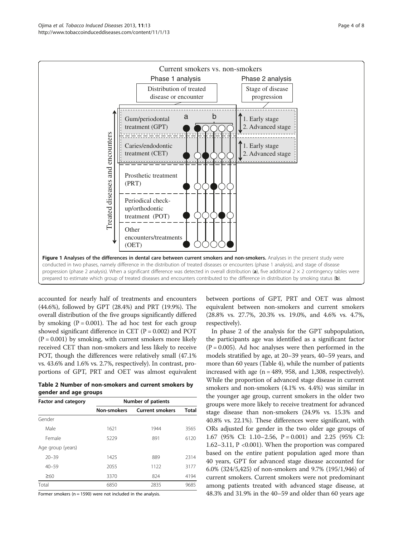<span id="page-3-0"></span>

accounted for nearly half of treatments and encounters (44.6%), followed by GPT (28.4%) and PRT (19.9%). The overall distribution of the five groups significantly differed by smoking  $(P = 0.001)$ . The ad hoc test for each group showed significant difference in CET ( $P = 0.002$ ) and POT  $(P = 0.001)$  by smoking, with current smokers more likely received CET than non-smokers and less likely to receive POT, though the differences were relatively small (47.1% vs. 43.6% and 1.6% vs. 2.7%, respectively). In contrast, proportions of GPT, PRT and OET was almost equivalent

Table 2 Number of non-smokers and current smokers by gender and age groups

| <b>Factor and category</b> | <b>Number of patients</b> |                        |       |  |  |
|----------------------------|---------------------------|------------------------|-------|--|--|
|                            | <b>Non-smokers</b>        | <b>Current smokers</b> | Total |  |  |
| Gender                     |                           |                        |       |  |  |
| Male                       | 1621                      | 1944                   | 3565  |  |  |
| Female                     | 5229                      | 891                    | 6120  |  |  |
| Age group (years)          |                           |                        |       |  |  |
| $20 - 39$                  | 1425                      | 889                    | 2314  |  |  |
| $40 - 59$                  | 2055                      | 1122                   | 3177  |  |  |
| $\geq 60$                  | 3370                      | 824                    | 4194  |  |  |
| Total                      | 6850                      | 2835                   | 9685  |  |  |

Former smokers ( $n = 1590$ ) were not included in the analysis.

between portions of GPT, PRT and OET was almost equivalent between non-smokers and current smokers (28.8% vs. 27.7%, 20.3% vs. 19.0%, and 4.6% vs. 4.7%, respectively).

In phase 2 of the analysis for the GPT subpopulation, the participants age was identified as a significant factor  $(P = 0.005)$ . Ad hoc analyses were then performed in the models stratified by age, at 20–39 years, 40–59 years, and more than 60 years (Table [4\)](#page-4-0), while the number of patients increased with age  $(n = 489, 958,$  and 1,308, respectively). While the proportion of advanced stage disease in current smokers and non-smokers (4.1% vs. 4.4%) was similar in the younger age group, current smokers in the older two groups were more likely to receive treatment for advanced stage disease than non-smokers (24.9% vs. 15.3% and 40.8% vs. 22.1%). These differences were significant, with ORs adjusted for gender in the two older age groups of 1.67 (95% CI: 1.10–2.56, P = 0.001) and 2.25 (95% CI: 1.62–3.11, P <0.001). When the proportion was compared based on the entire patient population aged more than 40 years, GPT for advanced stage disease accounted for 6.0% (324/5,425) of non-smokers and 9.7% (195/1,946) of current smokers. Current smokers were not predominant among patients treated with advanced stage disease, at 48.3% and 31.9% in the 40–59 and older than 60 years age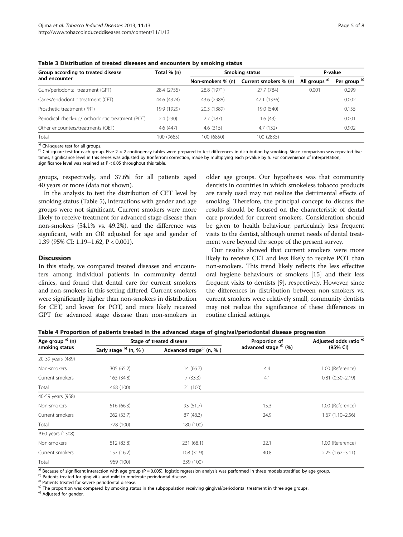<span id="page-4-0"></span>

| Group according to treated disease               | Total % (n) | Smoking status    | P-value               |                          |              |
|--------------------------------------------------|-------------|-------------------|-----------------------|--------------------------|--------------|
| and encounter                                    |             | Non-smokers % (n) | Current smokers % (n) | All groups <sup>a)</sup> | Per group b) |
| Gum/periodontal treatment (GPT)                  | 28.4 (2755) | 28.8 (1971)       | 27.7 (784)            | 0.001                    | 0.299        |
| Caries/endodontic treatment (CET)                | 44.6 (4324) | 43.6 (2988)       | 47.1 (1336)           |                          | 0.002        |
| Prosthetic treatment (PRT)                       | 19.9 (1929) | 20.3 (1389)       | 19.0 (540)            |                          | 0.155        |
| Periodical check-up/ orthodontic treatment (POT) | 2.4(230)    | 2.7(187)          | 1.6 (43)              |                          | 0.001        |
| Other encounters/treatments (OET)                | 4.6(447)    | 4.6(315)          | 4.7 (132)             |                          | 0.902        |
| Total                                            | 100 (9685)  | 100 (6850)        | 100 (2835)            |                          |              |

a) Chi-square test for all groups.<br><sup>b)</sup> Chi-square test for each group. Five 2 × 2 contingency tables were prepared to test differences in distribution by smoking. Since comparison was repeated five times, significance level in this series was adjusted by Bonferroni correction, made by multiplying each p-value by 5. For convenience of interpretation, significance level was retained at P < 0.05 throughout this table.

groups, respectively, and 37.6% for all patients aged 40 years or more (data not shown).

In the analysis to test the distribution of CET level by smoking status (Table [5\)](#page-5-0), interactions with gender and age groups were not significant. Current smokers were more likely to receive treatment for advanced stage disease than non-smokers (54.1% vs. 49.2%), and the difference was significant, with an OR adjusted for age and gender of 1.39 (95% CI: 1.19–1.62, P < 0.001).

# **Discussion**

In this study, we compared treated diseases and encounters among individual patients in community dental clinics, and found that dental care for current smokers and non-smokers in this setting differed. Current smokers were significantly higher than non-smokers in distribution for CET, and lower for POT, and more likely received GPT for advanced stage disease than non-smokers in older age groups. Our hypothesis was that community dentists in countries in which smokeless tobacco products are rarely used may not realize the detrimental effects of smoking. Therefore, the principal concept to discuss the results should be focused on the characteristic of dental care provided for current smokers. Consideration should be given to health behaviour, particularly less frequent visits to the dentist, although unmet needs of dental treatment were beyond the scope of the present survey.

Our results showed that current smokers were more likely to receive CET and less likely to receive POT than non-smokers. This trend likely reflects the less effective oral hygiene behaviours of smokers [\[15\]](#page-6-0) and their less frequent visits to dentists [\[9\]](#page-6-0), respectively. However, since the differences in distribution between non-smokers vs. current smokers were relatively small, community dentists may not realize the significance of these differences in routine clinical settings.

| Table 4 Proportion of patients treated in the advanced stage of gingival/periodontal disease progression |  |  |  |  |  |
|----------------------------------------------------------------------------------------------------------|--|--|--|--|--|
|----------------------------------------------------------------------------------------------------------|--|--|--|--|--|

| Age group <sup>a)</sup> (n) |                       | Stage of treated disease            | Proportion of                    | Adjusted odds ratio <sup>e)</sup> |
|-----------------------------|-----------------------|-------------------------------------|----------------------------------|-----------------------------------|
| smoking status              | Early stage b) (n, %) | Advanced stage <sup>c)</sup> (n, %) | advanced stage <sup>d)</sup> (%) | (95% CI)                          |
| 20-39 years (489)           |                       |                                     |                                  |                                   |
| Non-smokers                 | 305(65.2)             | 14(66.7)                            | 4.4                              | 1.00 (Reference)                  |
| Current smokers             | 163 (34.8)            | 7(33.3)                             | 4.1                              | $0.81(0.30 - 2.19)$               |
| Total                       | 468 (100)             | 21 (100)                            |                                  |                                   |
| 40-59 years (958)           |                       |                                     |                                  |                                   |
| Non-smokers                 | 516 (66.3)            | 93 (51.7)                           | 15.3                             | 1.00 (Reference)                  |
| Current smokers             | 262 (33.7)            | 87 (48.3)                           | 24.9                             | $1.67(1.10 - 2.56)$               |
| Total                       | 778 (100)             | 180 (100)                           |                                  |                                   |
| $\geq$ 60 years (1308)      |                       |                                     |                                  |                                   |
| Non-smokers                 | 812 (83.8)            | 231 (68.1)                          | 22.1                             | 1.00 (Reference)                  |
| Current smokers             | 157 (16.2)            | 108 (31.9)                          | 40.8                             | $2.25(1.62 - 3.11)$               |
| Total                       | 969 (100)             | 339 (100)                           |                                  |                                   |

<sup>a)</sup> Because of significant interaction with age group ( $P = 0.005$ ), logistic regression analysis was performed in three models stratified by age group.<br><sup>b)</sup> Patients treated for gingivitis and mild to moderate periodonta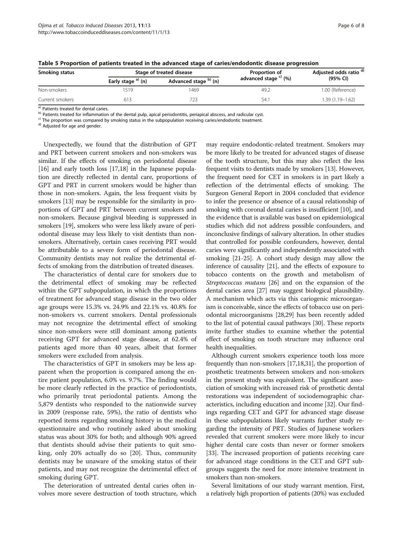| Smoking status  | Stage of treated disease |                       | Proportion of                    | Adjusted odds ratio <sup>d)</sup> |  |
|-----------------|--------------------------|-----------------------|----------------------------------|-----------------------------------|--|
|                 | Early stage $a)$ (n)     | Advanced stage b) (n) | advanced stage <sup>c)</sup> (%) | (95% CI)                          |  |
| Non-smokers     | 519                      | 1469                  | 49.2                             | 1.00 (Reference)                  |  |
| Current smokers | 613                      |                       | 54.                              | $1.39(1.19 - 1.62)$               |  |

<span id="page-5-0"></span>

|  |  |  | Table 5 Proportion of patients treated in the advanced stage of caries/endodontic disease progression |  |  |
|--|--|--|-------------------------------------------------------------------------------------------------------|--|--|
|--|--|--|-------------------------------------------------------------------------------------------------------|--|--|

(a) Patients treated for dental caries.<br>
b) Patients treated for inflammation of the dental pulp, apical periodontitis, periapical abscess, and radicular cyst.<br>
c) The proportion was compared by smoking status in the subp

Unexpectedly, we found that the distribution of GPT and PRT between current smokers and non-smokers was similar. If the effects of smoking on periodontal disease [[16](#page-6-0)] and early tooth loss [\[17,18](#page-6-0)] in the Japanese population are directly reflected in dental care, proportions of GPT and PRT in current smokers would be higher than those in non-smokers. Again, the less frequent visits by smokers [\[13\]](#page-6-0) may be responsible for the similarity in proportions of GPT and PRT between current smokers and non-smokers. Because gingival bleeding is suppressed in smokers [\[19\]](#page-7-0), smokers who were less likely aware of periodontal disease may less likely to visit dentists than nonsmokers. Alternatively, certain cases receiving PRT would be attributable to a severe form of periodontal disease. Community dentists may not realize the detrimental effects of smoking from the distribution of treated diseases.

The characteristics of dental care for smokers due to the detrimental effect of smoking may be reflected within the GPT subpopulation, in which the proportions of treatment for advanced stage disease in the two older age groups were 15.3% vs. 24.9% and 22.1% vs. 40.8% for non-smokers vs. current smokers. Dental professionals may not recognize the detrimental effect of smoking since non-smokers were still dominant among patients receiving GPT for advanced stage disease, at 62.4% of patients aged more than 40 years, albeit that former smokers were excluded from analysis.

The characteristics of GPT in smokers may be less apparent when the proportion is compared among the entire patient population, 6.0% vs. 9.7%. The finding would be more clearly reflected in the practice of periodontists, who primarily treat periodontal patients. Among the 5,879 dentists who responded to the nationwide survey in 2009 (response rate, 59%), the ratio of dentists who reported items regarding smoking history in the medical questionnaire and who routinely asked about smoking status was about 30% for both; and although 90% agreed that dentists should advise their patients to quit smoking, only 20% actually do so [\[20\]](#page-7-0). Thus, community dentists may be unaware of the smoking status of their patients, and may not recognize the detrimental effect of smoking during GPT.

The deterioration of untreated dental caries often involves more severe destruction of tooth structure, which

may require endodontic-related treatment. Smokers may be more likely to be treated for advanced stages of disease of the tooth structure, but this may also reflect the less frequent visits to dentists made by smokers [[13](#page-6-0)]. However, the frequent need for CET in smokers is in part likely a reflection of the detrimental effects of smoking. The Surgeon General Report in 2004 concluded that evidence to infer the presence or absence of a causal relationship of smoking with coronal dental caries is insufficient [\[10\]](#page-6-0), and the evidence that is available was based on epidemiological studies which did not address possible confounders, and inconclusive findings of salivary alteration. In other studies that controlled for possible confounders, however, dental caries were significantly and independently associated with smoking [[21](#page-7-0)-[25](#page-7-0)]. A cohort study design may allow the inference of causality [\[21\]](#page-7-0), and the effects of exposure to tobacco contents on the growth and metabolism of Streptococcus mutans [\[26\]](#page-7-0) and on the expansion of the dental caries area [\[27](#page-7-0)] may suggest biological plausibility. A mechanism which acts via this cariogenic microorganism is conceivable, since the effects of tobacco use on periodontal microorganisms [\[28,29\]](#page-7-0) has been recently added to the list of potential causal pathways [\[30](#page-7-0)]. These reports invite further studies to examine whether the potential effect of smoking on tooth structure may influence oral health inequalities.

Although current smokers experience tooth loss more frequently than non-smokers [[17,18](#page-6-0)[,31\]](#page-7-0), the proportion of prosthetic treatments between smokers and non-smokers in the present study was equivalent. The significant association of smoking with increased risk of prosthetic dental restorations was independent of sociodemographic characteristics, including education and income [\[32\]](#page-7-0). Our findings regarding CET and GPT for advanced stage disease in these subpopulations likely warrants further study regarding the intensity of PRT. Studies of Japanese workers revealed that current smokers were more likely to incur higher dental care costs than never or former smokers [[33](#page-7-0)]. The increased proportion of patients receiving care for advanced stage conditions in the CET and GPT subgroups suggests the need for more intensive treatment in smokers than non-smokers.

Several limitations of our study warrant mention. First, a relatively high proportion of patients (20%) was excluded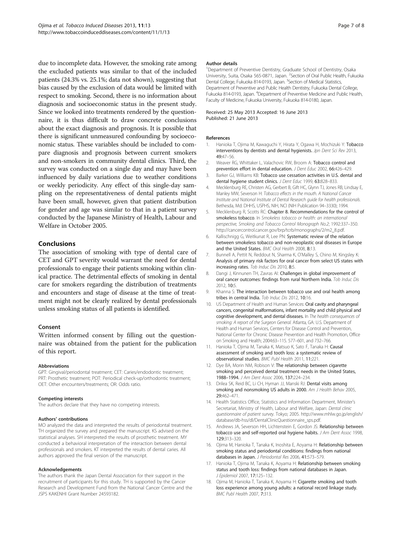<span id="page-6-0"></span>due to incomplete data. However, the smoking rate among the excluded patients was similar to that of the included patients (24.3% vs. 25.1%; data not shown), suggesting that bias caused by the exclusion of data would be limited with respect to smoking. Second, there is no information about diagnosis and socioeconomic status in the present study. Since we looked into treatments rendered by the questionnaire, it is thus difficult to draw concrete conclusions about the exact diagnosis and prognosis. It is possible that there is significant unmeasured confounding by socioeconomic status. These variables should be included to compare diagnosis and prognosis between current smokers and non-smokers in community dental clinics. Third, the survey was conducted on a single day and may have been influenced by daily variations due to weather conditions or weekly periodicity. Any effect of this single-day sampling on the representativeness of dental patients might have been small, however, given that patient distribution for gender and age was similar to that in a patient survey conducted by the Japanese Ministry of Health, Labour and Welfare in October 2005.

# Conclusions

The association of smoking with type of dental care of CET and GPT severity would warrant the need for dental professionals to engage their patients smoking within clinical practice. The detrimental effects of smoking in dental care for smokers regarding the distribution of treatments and encounters and stage of disease at the time of treatment might not be clearly realized by dental professionals unless smoking status of all patients is identified.

# Consent

Written informed consent by filling out the questionnaire was obtained from the patient for the publication of this report.

#### Abbreviations

GPT: Gingival/periodontal treatment; CET: Caries/endodontic treatment; PRT: Prosthetic treatment; POT: Periodical check-up/orthodontic treatment; OET: Other encounters/treatments; OR: Odds ratio.

#### Competing interests

The authors declare that they have no competing interests.

#### Authors' contributions

MO analyzed the data and interpreted the results of periodontal treatment. TH organized the survey and prepared the manuscript. KS advised on the statistical analyses. SH interpreted the results of prosthetic treatment. MY conducted a behavioral interpretation of the interaction between dental professionals and smokers. KT interpreted the results of dental caries. All authors approved the final version of the manuscript.

#### Acknowledgements

The authors thank the Japan Dental Association for their support in the recruitment of participants for this study. TH is supported by the Cancer Research and Development Fund from the National Cancer Centre and the JSPS KAKENHI Grant Number 24593182.

#### Author details

<sup>1</sup>Department of Preventive Dentistry, Graduate School of Dentistry, Osaka University, Suita, Osaka 565-0871, Japan. <sup>2</sup> Section of Oral Public Health, Fukuoka Dental College, Fukuoka 814-0193, Japan. <sup>3</sup>Section of Medical Statistics, Department of Preventive and Public Health Dentistry, Fukuoka Dental College, Fukuoka 814-0193, Japan. <sup>4</sup>Department of Preventive Medicine and Public Health, Faculty of Medicine, Fukuoka University, Fukuoka 814-0180, Japan.

#### Received: 25 May 2013 Accepted: 16 June 2013 Published: 21 June 2013

# References

- 1. Hanioka T, Ojima M, Kawaguchi Y, Hirata Y, Ogawa H, Mochizuki Y: Tobacco interventions by dentists and dental hygienists. Jpn Dent Sci Rev 2013, 49:47–56.
- 2. Weaver RG, Whittaker L, Valachovic RW, Broom A: Tobacco control and prevention effort in dental education. J Dent Educ 2002, 66:426–429.
- 3. Barker GJ, Williams KB: Tobacco use cessation activities in U.S. dental and dental hygiene student clinics. J Dent Educ 1999, 63:828-833.
- 4. Mecklenburg RE, Christen AG, Gerbert B, Gift HC, Glynn TJ, Jones RB, Lindsay E, Manley MW, Severson H: Tobacco effects in the mouth. A National Cancer Institute and National Institute of Dental Research guide for health professionals. Bethesda, Md: DHHS, USPHS, NIH, NCI (NIH Publication 94–3330); 1994.
- 5. Mecklenburg R, Scotts RC: Chapter 8. Recommendations for the control of smokeless tobacco. In Smokeless tobacco or health: an international perspective, Smoking and Tobacco Control Monograph No.2; 1992:337–350. [http://cancercontrol.cancer.gov/brp/tcrb/monographs/2/m2\\_8.pdf.](http://cancercontrol.cancer.gov/brp/tcrb/monographs/2/m2_8.pdf)
- 6. Kallischnigg G, Weitkunat R, Lee PN: Systematic review of the relation between smokeless tobacco and non-neoplastic oral diseases in Europe and the United States. BMC Oral Health 2008, 8:13.
- 7. Bunnell A, Pettit N, Reddout N, Sharma K, O'Malley S, Chino M, Kingsley K: Analysis of primary risk factors for oral cancer from select US states with increasing rates. Tob Induc Dis 2010, 8:5.
- 8. Dangi J, Kinnunen TH, Zavras AI: Challenges in global improvement of oral cancer outcomes: findings from rural Northern India. Tob Induc Dis 2012, 10:5.
- 9. Khanna S: The interaction between tobacco use and oral health among tribes in central India. Tob Induc Dis 2012, 10:16.
- 10. US Department of Health and Human Services: Oral cavity and pharyngeal cancers, congenital malformations, infant mortality and child physical and cognitive development, and dental diseases. In The health consequences of smoking: A report of the Surgeon General. Atlanta, GA: U.S. Department of Health and Human Services, Centers for Disease Control and Prevention, National Center for Chronic Disease Prevention and Health Promotion, Office on Smoking and Health; 2004:63–115. 577–601, and 732–766.
- 11. Hanioka T, Ojima M, Tanaka K, Matsuo K, Sato F, Tanaka H: Causal assessment of smoking and tooth loss: a systematic review of observational studies. BMC Publ Health 2011, 11:221.
- 12. Dye BA, Morin NM, Robison V: The relationship between cigarette smoking and perceived dental treatment needs in the United States, 1988–1994. J Am Dent Assoc 2006, 137:224–234.
- 13. Drilea SK, Reid BC, Li CH, Hyman JJ, Manski RJ: Dental visits among smoking and nonsmoking US adults in 2000. Am J Health Behav 2005, 29:462–471.
- 14. Health Statistics Office, Statistics and Information Department, Minister's Secretariat, Ministry of Health, Labour and Welfare, Japan: Dental clinic questionnaire of patient survey. Tokyo; 2005. [http://www.mhlw.go.jp/english/](http://www.mhlw.go.jp/english/database/db-hss/dl/DentalClinicQuestionnaire_sps.pdf) [database/db-hss/dl/DentalClinicQuestionnaire\\_sps.pdf.](http://www.mhlw.go.jp/english/database/db-hss/dl/DentalClinicQuestionnaire_sps.pdf)
- 15. Andrews JA, Severson HH, Lichtenstein E, Gordon JS: Relationship between tobacco use and self-reported oral hygiene habits. J Am Dent Assoc 1998, 129:313–320.
- 16. Ojima M, Hanioka T, Tanaka K, Inoshita E, Aoyama H: Relationship between smoking status and periodontal conditions: findings from national databases in Japan. J Periodontal Res 2006, 41:573–579.
- 17. Hanioka T, Ojima M, Tanaka K, Aoyama H: Relationship between smoking status and tooth loss: findings from national databases in Japan. J Epidemiol 2007, 17:125–132.
- 18. Ojima M, Hanioka T, Tanaka K, Aoyama H: Cigarette smoking and tooth loss experience among young adults: a national record linkage study. BMC Publ Health 2007, 7:313.